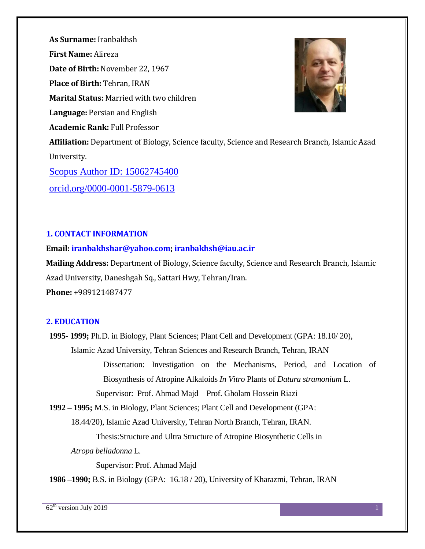**As Surname:** Iranbakhsh **First Name:** Alireza **Date of Birth:** November 22, 1967 **Place of Birth:** Tehran, IRAN **Marital Status:** Married with two children **Language:** Persian and English **Academic Rank:** Full Professor **Affiliation:** Department of Biology, Science faculty, Science and Research Branch, Islamic Azad University. [Scopus Author ID: 15062745400](http://www.scopus.com/inward/authorDetails.url?authorID=15062745400&partnerID=MN8TOARS) orcid.org/0000-0001-5879-0613

## **1. CONTACT INFORMATION**

### **Email: [iranbakhshar@yahoo.com;](mailto:iranbakhshar@yahoo.com) [iranbakhsh@iau.ac.ir](mailto:iranbakhsh@iau.ac.ir)**

**Mailing Address:** Department of Biology, Science faculty, Science and Research Branch, Islamic Azad University, Daneshgah Sq., Sattari Hwy, Tehran/Iran. **Phone:** +989121487477

## **2. EDUCATION**

**1995- 1999;** Ph.D. in Biology, Plant Sciences; Plant Cell and Development (GPA: 18.10/ 20), Islamic Azad University, Tehran Sciences and Research Branch, Tehran, IRAN Dissertation: Investigation on the Mechanisms, Period, and Location of Biosynthesis of Atropine Alkaloids *In Vitro* Plants of *Datura stramonium* L. Supervisor: Prof. Ahmad Majd – Prof. Gholam Hossein Riazi

**1992 – 1995;** M.S. in Biology, Plant Sciences; Plant Cell and Development (GPA:

18.44/20), Islamic Azad University, Tehran North Branch, Tehran, IRAN.

Thesis:Structure and Ultra Structure of Atropine Biosynthetic Cells in

*Atropa belladonna* L.

Supervisor: Prof. Ahmad Majd

**1986 –1990;** B.S. in Biology (GPA: 16.18 / 20), University of Kharazmi, Tehran, IRAN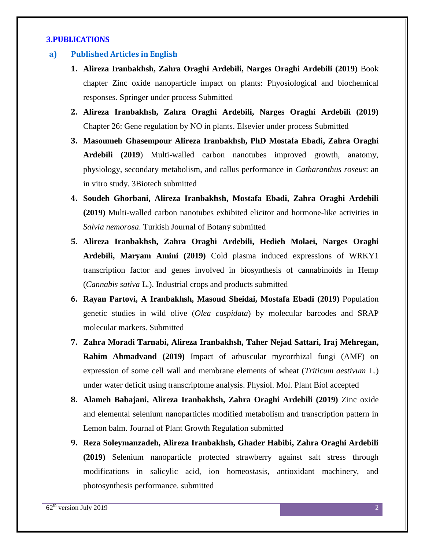## **3.PUBLICATIONS**

#### **a) Published Articles in English**

- **1. Alireza Iranbakhsh, Zahra Oraghi Ardebili, Narges Oraghi Ardebili (2019)** Book chapter Zinc oxide nanoparticle impact on plants: Phyosiological and biochemical responses. Springer under process Submitted
- **2. Alireza Iranbakhsh, Zahra Oraghi Ardebili, Narges Oraghi Ardebili (2019)** Chapter 26: Gene regulation by NO in plants. Elsevier under process Submitted
- **3. Masoumeh Ghasempour Alireza Iranbakhsh, PhD Mostafa Ebadi, Zahra Oraghi Ardebili (2019**) Multi-walled carbon nanotubes improved growth, anatomy, physiology, secondary metabolism, and callus performance in *Catharanthus roseus*: an in vitro study. 3Biotech submitted
- **4. Soudeh Ghorbani, Alireza Iranbakhsh, Mostafa Ebadi, Zahra Oraghi Ardebili (2019)** Multi-walled carbon nanotubes exhibited elicitor and hormone-like activities in *Salvia nemorosa*. Turkish Journal of Botany submitted
- **5. Alireza Iranbakhsh, Zahra Oraghi Ardebili, Hedieh Molaei, Narges Oraghi Ardebili, Maryam Amini (2019)** Cold plasma induced expressions of WRKY1 transcription factor and genes involved in biosynthesis of cannabinoids in Hemp (*Cannabis sativa* L.). Industrial crops and products submitted
- **6. Rayan Partovi, A Iranbakhsh, Masoud Sheidai, Mostafa Ebadi (2019)** Population genetic studies in wild olive (*Olea cuspidata*) by molecular barcodes and SRAP molecular markers. Submitted
- **7. Zahra Moradi Tarnabi, Alireza Iranbakhsh, Taher Nejad Sattari, Iraj Mehregan, Rahim Ahmadvand (2019)** Impact of arbuscular mycorrhizal fungi (AMF) on expression of some cell wall and membrane elements of wheat (*Triticum aestivum* L.) under water deficit using transcriptome analysis. Physiol. Mol. Plant Biol accepted
- **8. Alameh Babajani, Alireza Iranbakhsh, Zahra Oraghi Ardebili (2019)** Zinc oxide and elemental selenium nanoparticles modified metabolism and transcription pattern in Lemon balm. Journal of Plant Growth Regulation submitted
- **9. Reza Soleymanzadeh, Alireza Iranbakhsh, Ghader Habibi, Zahra Oraghi Ardebili (2019)** Selenium nanoparticle protected strawberry against salt stress through modifications in salicylic acid, ion homeostasis, antioxidant machinery, and photosynthesis performance. submitted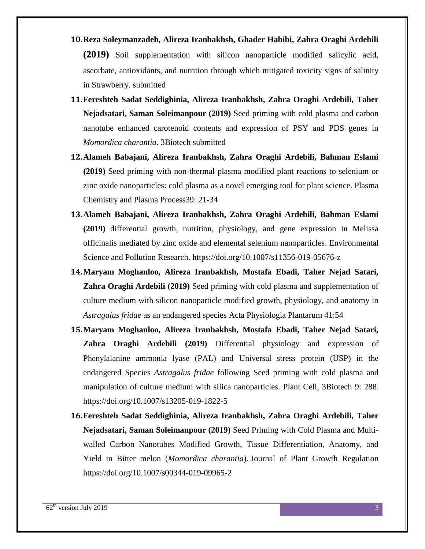- **10.Reza Soleymanzadeh, Alireza Iranbakhsh, Ghader Habibi, Zahra Oraghi Ardebili (2019)** Soil supplementation with silicon nanoparticle [modified salicylic acid,](https://www.google.com/url?sa=t&rct=j&q=&esrc=s&source=web&cd=1&cad=rja&uact=8&ved=2ahUKEwjJgc2T3sfeAhUCrxoKHckHAOoQFjAAegQIChAB&url=https%3A%2F%2Fwww.ncbi.nlm.nih.gov%2Fpmc%2Farticles%2FPMC2676646%2F&usg=AOvVaw1xBwN4MQR33MKb1p8JlPGn)  [ascorbate, antioxidants, and nutrition through which mitigated toxicity signs of salinity](https://www.google.com/url?sa=t&rct=j&q=&esrc=s&source=web&cd=1&cad=rja&uact=8&ved=2ahUKEwjJgc2T3sfeAhUCrxoKHckHAOoQFjAAegQIChAB&url=https%3A%2F%2Fwww.ncbi.nlm.nih.gov%2Fpmc%2Farticles%2FPMC2676646%2F&usg=AOvVaw1xBwN4MQR33MKb1p8JlPGn)  [in Strawberry. submitted](https://www.google.com/url?sa=t&rct=j&q=&esrc=s&source=web&cd=1&cad=rja&uact=8&ved=2ahUKEwjJgc2T3sfeAhUCrxoKHckHAOoQFjAAegQIChAB&url=https%3A%2F%2Fwww.ncbi.nlm.nih.gov%2Fpmc%2Farticles%2FPMC2676646%2F&usg=AOvVaw1xBwN4MQR33MKb1p8JlPGn)
- **11.Fereshteh Sadat Seddighinia, Alireza Iranbakhsh, Zahra Oraghi Ardebili, Taher Nejadsatari, Saman Soleimanpour (2019)** Seed priming with cold plasma and carbon nanotube enhanced carotenoid contents and expression of PSY and PDS genes in *Momordica charantia*. 3Biotech submitted
- **12.Alameh Babajani, Alireza Iranbakhsh, Zahra Oraghi Ardebili, Bahman Eslami (2019)** Seed priming with non-thermal plasma modified plant reactions to selenium or zinc oxide nanoparticles: cold plasma as a novel emerging tool for plant science. Plasma Chemistry and Plasma Process39: 21-34
- **13.Alameh Babajani, Alireza Iranbakhsh, Zahra Oraghi Ardebili, Bahman Eslami (2019)** differential growth, nutrition, physiology, and gene expression in Melissa officinalis mediated by zinc oxide and elemental selenium nanoparticles. Environmental Science and Pollution Research. https://doi.org/10.1007/s11356-019-05676-z
- **14.Maryam Moghanloo, Alireza Iranbakhsh, Mostafa Ebadi, Taher Nejad Satari, Zahra Oraghi Ardebili (2019)** Seed priming with cold plasma and supplementation of culture medium with silicon nanoparticle modified growth, physiology, and anatomy in *Astragalus fridae* as an endangered species Acta Physiologia Plantarum 41:54
- **15.Maryam Moghanloo, Alireza Iranbakhsh, Mostafa Ebadi, Taher Nejad Satari, Zahra Oraghi Ardebili (2019)** Differential physiology and expression of Phenylalanine ammonia lyase (PAL) and Universal stress protein (USP) in the endangered Species *Astragalus fridae* following Seed priming with cold plasma and manipulation of culture medium with silica nanoparticles. Plant Cell, 3Biotech 9: 288. https://doi.org/10.1007/s13205-019-1822-5
- **16.Fereshteh Sadat Seddighinia, Alireza Iranbakhsh, Zahra Oraghi Ardebili, Taher Nejadsatari, Saman Soleimanpour (2019)** Seed Priming with Cold Plasma and Multiwalled Carbon Nanotubes Modified Growth, Tissue Differentiation, Anatomy, and Yield in Bitter melon (*Momordica charantia*). Journal of Plant Growth Regulation https://doi.org/10.1007/s00344-019-09965-2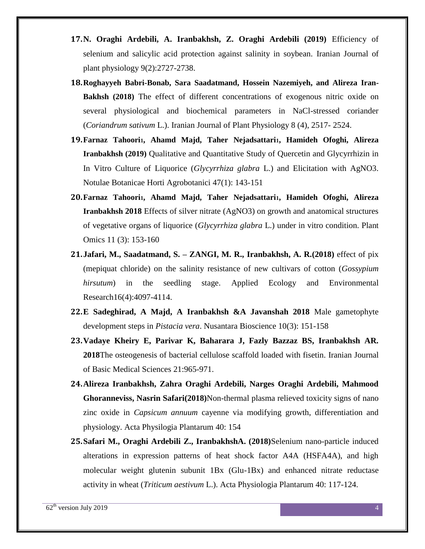- **17.N. Oraghi Ardebili, A. Iranbakhsh, Z. Oraghi Ardebili (2019)** Efficiency of selenium and salicylic acid protection against salinity in soybean. Iranian Journal of plant physiology 9(2):2727-2738.
- **18.Roghayyeh Babri-Bonab, Sara Saadatmand, Hossein Nazemiyeh, and Alireza Iran-Bakhsh (2018)** The effect of different concentrations of exogenous nitric oxide on several physiological and biochemical parameters in NaCl-stressed coriander (*Coriandrum sativum* L.). Iranian Journal of Plant Physiology 8 (4), 2517- 2524.
- **19.Farnaz Tahoori1, Ahamd Majd, Taher Nejadsattari1, Hamideh Ofoghi, Alireza Iranbakhsh (2019)** Qualitative and Quantitative Study of Quercetin and Glycyrrhizin in In Vitro Culture of Liquorice (*Glycyrrhiza glabra* L.) and Elicitation with AgNO3. Notulae Botanicae Horti Agrobotanici 47(1): 143-151
- **20.Farnaz Tahoori1, Ahamd Majd, Taher Nejadsattari1, Hamideh Ofoghi, Alireza Iranbakhsh 2018** Effects of silver nitrate (AgNO3) on growth and anatomical structures of vegetative organs of liquorice (*Glycyrrhiza glabra* L.) under in vitro condition. Plant Omics 11 (3): 153-160
- **21.Jafari, M., Saadatmand, S. – ZANGI, M. R., Iranbakhsh, A. R.(2018)** effect of pix (mepiquat chloride) on the salinity resistance of new cultivars of cotton (*Gossypium hirsutum*) in the seedling stage. Applied Ecology and Environmental Research16(4):4097-4114.
- **22.E Sadeghirad, A Majd, A Iranbakhsh &A Javanshah 2018** Male gametophyte development steps in *Pistacia vera*. Nusantara Bioscience 10(3): 151-158
- **23.Vadaye Kheiry E, Parivar K, Baharara J, Fazly Bazzaz BS, Iranbakhsh AR. 2018**The osteogenesis of bacterial cellulose scaffold loaded with fisetin. Iranian Journal of Basic Medical Sciences 21:965-971.
- **24.Alireza Iranbakhsh, Zahra Oraghi Ardebili, Narges Oraghi Ardebili, Mahmood Ghoranneviss, Nasrin Safari(2018)**Non-thermal plasma relieved toxicity signs of nano zinc oxide in *Capsicum annuum* cayenne via modifying growth, differentiation and physiology. Acta Physilogia Plantarum 40: 154
- **25.Safari M., Oraghi Ardebili Z., IranbakhshA. (2018)**Selenium nano-particle induced alterations in expression patterns of heat shock factor A4A (HSFA4A), and high molecular weight glutenin subunit 1Bx (Glu-1Bx) and enhanced nitrate reductase activity in wheat (*Triticum aestivum* L.). Acta Physiologia Plantarum 40: 117-124.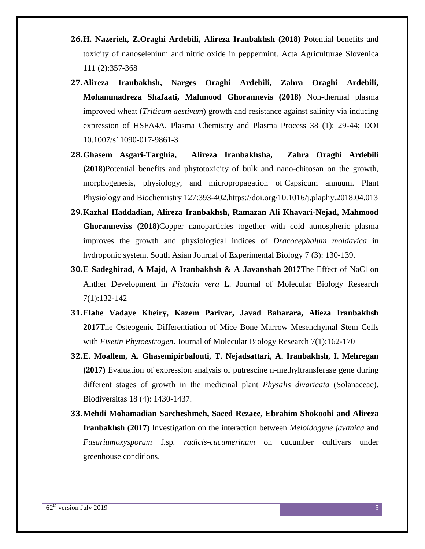- **26.H. Nazerieh, Z.Oraghi Ardebili, Alireza Iranbakhsh (2018)** Potential benefits and toxicity of nanoselenium and nitric oxide in peppermint. Acta Agriculturae Slovenica 111 (2):357-368
- **27.Alireza Iranbakhsh, Narges Oraghi Ardebili, Zahra Oraghi Ardebili, Mohammadreza Shafaati, Mahmood Ghorannevis (2018)** Non-thermal plasma improved wheat (*Triticum aestivum*) growth and resistance against salinity via inducing expression of HSFA4A. Plasma Chemistry and Plasma Process 38 (1): 29-44; DOI 10.1007/s11090-017-9861-3
- **28.[Ghasem Asgari-Targhia,](https://www.sciencedirect.com/science/article/pii/S0981942818301712) [Alireza Iranbakhsha,](https://www.sciencedirect.com/science/article/pii/S0981942818301712) [Zahra Oraghi Ardebili](https://www.sciencedirect.com/science/article/pii/S0981942818301712) (2018)**Potential benefits and phytotoxicity of bulk and nano-chitosan on the growth, morphogenesis, physiology, and micropropagation of Capsicum annuum. Plant Physiology and Biochemistry 127:393-402[.https://doi.org/10.1016/j.plaphy.2018.04.013](https://doi.org/10.1016/j.plaphy.2018.04.013)
- **29.Kazhal Haddadian, Alireza Iranbakhsh, Ramazan Ali Khavari-Nejad, Mahmood Ghoranneviss (2018)**Copper nanoparticles together with cold atmospheric plasma improves the growth and physiological indices of *Dracocephalum moldavica* in hydroponic system. South Asian Journal of Experimental Biology 7 (3): 130-139.
- **30.E Sadeghirad, A Majd, A Iranbakhsh & A Javanshah 2017**The Effect of NaCl on Anther Development in *Pistacia vera* L. Journal of Molecular Biology Research 7(1):132-142
- **31.Elahe Vadaye Kheiry, Kazem Parivar, Javad Baharara, Alieza Iranbakhsh 2017**The Osteogenic Differentiation of Mice Bone Marrow Mesenchymal Stem Cells with *Fisetin Phytoestrogen*. Journal of Molecular Biology Research 7(1):162-170
- **32.E. Moallem, A. Ghasemipirbalouti, T. Nejadsattari, A. Iranbakhsh, I. Mehregan (2017)** Evaluation of expression analysis of putrescine n-methyltransferase gene during different stages of growth in the medicinal plant *Physalis divaricata* (Solanaceae). Biodiversitas 18 (4): 1430-1437.
- **33.Mehdi Mohamadian Sarcheshmeh, Saeed Rezaee, Ebrahim Shokoohi and Alireza Iranbakhsh (2017)** Investigation on the interaction between *Meloidogyne javanica* and *Fusariumoxysporum* f.sp*. radicis-cucumerinum* on cucumber cultivars under greenhouse conditions.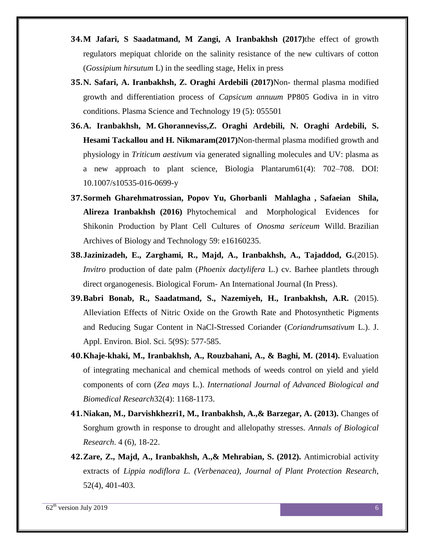- **34.M Jafari, S Saadatmand, M Zangi, A Iranbakhsh (2017)**the effect of growth regulators mepiquat chloride on the salinity resistance of the new cultivars of cotton (*Gossipium hirsutum* L) in the seedling stage, Helix in press
- **35.N. Safari, A. Iranbakhsh, Z. Oraghi Ardebili (2017)**Non- thermal plasma modified growth and differentiation process of *Capsicum annuum* PP805 Godiva in in vitro conditions. Plasma Science and Technology 19 (5): 055501
- **36.A. Iranbakhsh, M. Ghoranneviss,Z. Oraghi Ardebili, N. Oraghi Ardebili, S. Hesami Tackallou and H. Nikmaram(2017)**Non-thermal plasma modified growth and physiology in *Triticum aestivum* via generated signalling molecules and UV: plasma as a new approach to plant science, Biologia Plantarum61(4): 702–708. DOI: 10.1007/s10535-016-0699-y
- **37.Sormeh Gharehmatrossian, Popov Yu, Ghorbanli Mahlagha , Safaeian Shila, Alireza Iranbakhsh (2016)** Phytochemical and Morphological Evidences for Shikonin Production by Plant Cell Cultures of *Onosma sericeum* Willd. Brazilian Archives of Biology and Technology 59: e16160235.
- **38.Jazinizadeh, E., Zarghami, R., Majd, A., Iranbakhsh, A., Tajaddod, G.**(2015). *Invitro* production of date palm (*Phoenix dactylifera* L.) cv. Barhee plantlets through direct organogenesis. Biological Forum- An International Journal (In Press).
- **39.Babri Bonab, R., Saadatmand, S., Nazemiyeh, H., Iranbakhsh, A.R.** (2015). Alleviation Effects of Nitric Oxide on the Growth Rate and Photosynthetic Pigments and Reducing Sugar Content in NaCl-Stressed Coriander (*Coriandrumsativum* L.). J. Appl. Environ. Biol. Sci. 5(9S): 577-585.
- **40.Khaje-khaki, M., Iranbakhsh, A., Rouzbahani, A., & Baghi, M. (2014).** Evaluation of integrating mechanical and chemical methods of weeds control on yield and yield components of corn (*Zea mays* L.). *International Journal of Advanced Biological and Biomedical Research*32(4): 1168-1173.
- **41.Niakan, M., Darvishkhezri1, M., Iranbakhsh, A.,& Barzegar, A. (2013).** Changes of Sorghum growth in response to drought and allelopathy stresses. *Annals of Biological Research*. 4 (6), 18-22.
- **42.Zare, Z., Majd, A., Iranbakhsh, A.,& Mehrabian, S. (2012).** Antimicrobial activity extracts of *Lippia nodiflora L. (Verbenacea), Journal of Plant Protection Research*, 52(4), 401-403.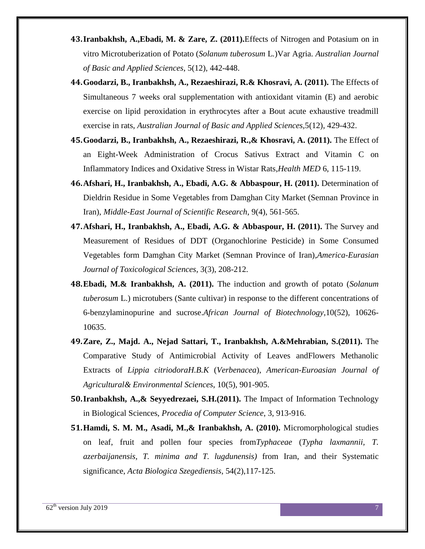- **43.Iranbakhsh, A.,Ebadi, M. & Zare, Z. (2011).**Effects of Nitrogen and Potasium on in vitro Microtuberization of Potato (*Solanum tuberosum* L*.*)Var Agria. *Australian Journal of Basic and Applied Sciences*, 5(12), 442-448.
- **44.Goodarzi, B., Iranbakhsh, A., Rezaeshirazi, R.& Khosravi, A. (2011).** The Effects of Simultaneous 7 weeks oral supplementation with antioxidant vitamin (E) and aerobic exercise on lipid peroxidation in erythrocytes after a Bout acute exhaustive treadmill exercise in rats, *Australian Journal of Basic and Applied Sciences,*5(12), 429-432.
- **45.Goodarzi, B., Iranbakhsh, A., Rezaeshirazi, R.,& Khosravi, A. (2011).** The Effect of an Eight-Week Administration of Crocus Sativus Extract and Vitamin C on Inflammatory Indices and Oxidative Stress in Wistar Rats,*Health MED* 6, 115-119.
- **46.Afshari, H., Iranbakhsh, A., Ebadi, A.G. & Abbaspour, H. (2011).** Determination of Dieldrin Residue in Some Vegetables from Damghan City Market (Semnan Province in Iran), *Middle-East Journal of Scientific Research*, 9(4), 561-565.
- **47.Afshari, H., Iranbakhsh, A., Ebadi, A.G. & Abbaspour, H. (2011).** The Survey and Measurement of Residues of DDT (Organochlorine Pesticide) in Some Consumed Vegetables form Damghan City Market (Semnan Province of Iran),*America-Eurasian Journal of Toxicological Sciences*, 3(3), 208-212.
- **48.Ebadi, M.& Iranbakhsh, A. (2011).** The induction and growth of potato (*Solanum tuberosum* L.) microtubers (Sante cultivar) in response to the different concentrations of 6-benzylaminopurine and sucrose.*African Journal of Biotechnology*,10(52), 10626- 10635.
- **49.Zare, Z., Majd. A., Nejad Sattari, T., Iranbakhsh, A.&Mehrabian, S.(2011).** The Comparative Study of Antimicrobial Activity of Leaves andFlowers Methanolic Extracts of *Lippia citriodoraH.B.K* (*Verbenacea*), *American-Euroasian Journal of Agricultural& Environmental Sciences*, 10(5), 901-905.
- **50.Iranbakhsh, A.,& Seyyedrezaei, S.H.(2011).** The Impact of Information Technology in Biological Sciences, *Procedia of Computer Science*, 3, 913-916.
- **51.Hamdi, S. M. M., Asadi, M.,& Iranbakhsh, A. (2010).** Micromorphological studies on leaf, fruit and pollen four species from*Typhaceae* (*Typha laxmannii, T. azerbaijanensis, T. minima and T. lugdunensis)* from Iran, and their Systematic significance, *Acta Biologica Szegediensis*, 54(2),117-125.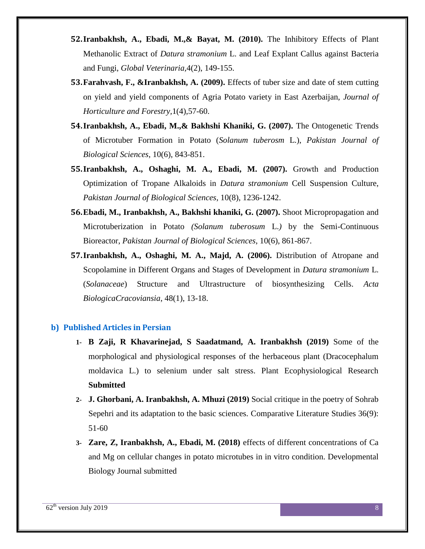- **52.Iranbakhsh, A., Ebadi, M.,& Bayat, M. (2010).** The Inhibitory Effects of Plant Methanolic Extract of *Datura stramonium* L. and Leaf Explant Callus against Bacteria and Fungi, *Global Veterinaria,*4(2), 149-155.
- **53.Farahvash, F., &Iranbakhsh, A. (2009).** Effects of tuber size and date of stem cutting on yield and yield components of Agria Potato variety in East Azerbaijan, *Journal of Horticulture and Forestry,*1(4),57-60.
- **54.Iranbakhsh, A., Ebadi, M.,& Bakhshi Khaniki, G. (2007).** The Ontogenetic Trends of Microtuber Formation in Potato (*Solanum tuberosm* L.), *Pakistan Journal of Biological Sciences*, 10(6), 843-851.
- **55.Iranbakhsh, A., Oshaghi, M. A., Ebadi, M. (2007).** Growth and Production Optimization of Tropane Alkaloids in *Datura stramonium* Cell Suspension Culture, *Pakistan Journal of Biological Sciences*, 10(8), 1236-1242.
- **56.Ebadi, M., Iranbakhsh, A., Bakhshi khaniki, G. (2007).** Shoot Micropropagation and Microtuberization in Potato *(Solanum tuberosum* L.*)* by the Semi-Continuous Bioreactor, *Pakistan Journal of Biological Sciences*, 10(6), 861-867.
- **57.Iranbakhsh, A., Oshaghi, M. A., Majd, A. (2006).** Distribution of Atropane and Scopolamine in Different Organs and Stages of Development in *Datura stramonium* L. (*Solanaceae*) Structure and Ultrastructure of biosynthesizing Cells. *Acta BiologicaCracoviansia*, 48(1), 13-18.

### **b) Published Articles in Persian**

- **1- B Zaji, R Khavarinejad, S Saadatmand, A. Iranbakhsh (2019)** Some of the morphological and physiological responses of the herbaceous plant (Dracocephalum moldavica L.) to selenium under salt stress. Plant Ecophysiological Research **Submitted**
- **2- J. Ghorbani, A. Iranbakhsh, A. Mhuzi (2019)** Social critique in the poetry of Sohrab Sepehri and its adaptation to the basic sciences. Comparative Literature Studies 36(9): 51-60
- **3- Zare, Z, Iranbakhsh, A., Ebadi, M. (2018)** effects of different concentrations of Ca and Mg on cellular changes in potato microtubes in in vitro condition. Developmental Biology Journal submitted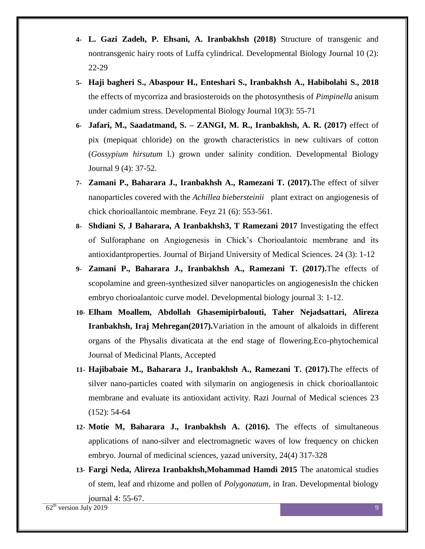- **4- L. Gazi Zadeh, P. Ehsani, A. Iranbakhsh (2018)** Structure of transgenic and nontransgenic hairy roots of Luffa cylindrical. Developmental Biology Journal 10 (2): 22-29
- **5- Haji bagheri S., Abaspour H., Enteshari S., Iranbakhsh A., Habibolahi S., 2018** the effects of mycorriza and brasiosteroids on the photosynthesis of *Pimpinella* anisum under cadmium stress. Developmental Biology Journal 10(3): 55-71
- **6- Jafari, M., Saadatmand, S. – ZANGI, M. R., Iranbakhsh, A. R. (2017)** effect of pix (mepiquat chloride) on the growth characteristics in new cultivars of cotton (*Gossypium hirsutum* l.) grown under salinity condition. Developmental Biology Journal 9 (4): 37-52.
- **7- Zamani P., Baharara J., Iranbakhsh A., Ramezani T. (2017).**The effect of silver nanoparticles covered with the *Achillea biebersteinii* plant extract on angiogenesis of chick chorioallantoic membrane. Feyz 21 (6): 553-561.
- **8- Shdiani S, J Baharara, A Iranbakhsh3, T Ramezani 2017** Investigating the effect of Sulforaphane on Angiogenesis in Chick's Chorioalantoic membrane and its antioxidantproperties. Journal of Birjand University of Medical Sciences. 24 (3): 1-12
- **9- Zamani P., Baharara J., Iranbakhsh A., Ramezani T. (2017).**The effects of scopolamine and green-synthesized silver nanoparticles on angiogenesisIn the chicken embryo chorioalantoic curve model. Developmental biology journal 3: 1-12.
- **10- Elham Moallem, Abdollah Ghasemipirbalouti, Taher Nejadsattari, Alireza Iranbakhsh, Iraj Mehregan(2017).**Variation in the amount of alkaloids in different organs of the Physalis divaticata at the end stage of flowering.Eco-phytochemical Journal of Medicinal Plants, Accepted
- **11- Hajibabaie M., Baharara J., Iranbakhsh A., Ramezani T. (2017).**The effects of silver nano-particles coated with silymarin on angiogenesis in chick chorioallantoic membrane and evaluate its antioxidant activity. Razi Journal of Medical sciences 23 (152): 54-64
- **12- Motie M, Baharara J., Iranbakhsh A. (2016).** The effects of simultaneous applications of nano-silver and electromagnetic waves of low frequency on chicken embryo. Journal of medicinal sciences, yazad university, 24(4) 317-328
- **13- Fargi Neda, Alireza Iranbakhsh,Mohammad Hamdi 2015** The anatomical studies of stem, leaf and rhizome and pollen of *Polygonatum,* in Iran. Developmental biology journal 4: 55-67.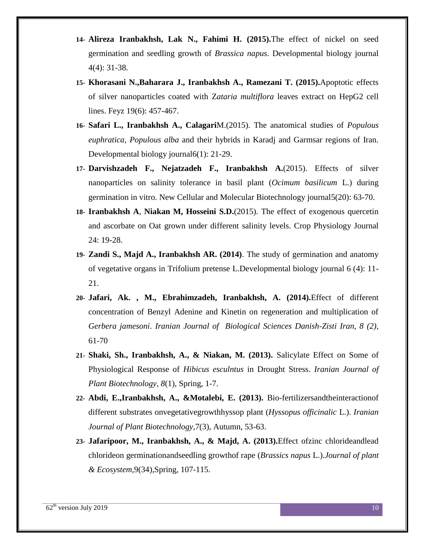- **14- Alireza Iranbakhsh, Lak N., Fahimi H. (2015).**The effect of nickel on seed germination and seedling growth of *Brassica napus*. Developmental biology journal 4(4): 31-38.
- **15- Khorasani N.,Baharara J., Iranbakhsh A., Ramezani T. (2015).**Apoptotic effects of silver nanoparticles coated with Z*ataria multiflora* leaves extract on HepG2 cell lines. Feyz 19(6): 457-467.
- **16- Safari L., Iranbakhsh A., Calagari**M.(2015). The anatomical studies of *Populous euphratica, Populous alba* and their hybrids in Karadj and Garmsar regions of Iran. Developmental biology journal6(1): 21-29.
- **17- Darvishzadeh F., Nejatzadeh F., Iranbakhsh A.**(2015). Effects of silver nanoparticles on salinity tolerance in basil plant (*Ocimum basilicum* L.) during germination in vitro. New Cellular and Molecular Biotechnology journal5(20): 63-70.
- **18- Iranbakhsh A**, **Niakan M, Hosseini S.D.**(2015). The effect of exogenous quercetin and ascorbate on Oat grown under different salinity levels. Crop Physiology Journal 24: 19-28.
- **19- Zandi S., Majd A., Iranbakhsh AR. (2014)**. The study of germination and anatomy of vegetative organs in Trifolium pretense L.Developmental biology journal 6 (4): 11- 21.
- **20- Jafari, Ak. , M., Ebrahimzadeh, Iranbakhsh, A. (2014).**Effect of different concentration of Benzyl Adenine and Kinetin on regeneration and multiplication of *Gerbera jamesoni*. *Iranian Journal of Biological Sciences Danish-Zisti Iran, 8 (2)*, 61-70
- **21- Shaki, Sh., Iranbakhsh, A., & Niakan, M. (2013).** Salicylate Effect on Some of Physiological Response of *Hibicus esculntus* in Drought Stress. *Iranian Journal of Plant Biotechnology, 8*(1), Spring, 1-7.
- **22- Abdi, E.,Iranbakhsh, A., &Motalebi, E. (2013).** Bio-fertilizersandtheinteractionof different substrates onvegetativegrowthhyssop plant (*Hyssopus officinalic* L.). *Iranian Journal of Plant Biotechnology*,7(3), Autumn, 53-63.
- **23- Jafaripoor, M., Iranbakhsh, A., & Majd, A. (2013).**Effect ofzinc chlorideandlead chlorideon germinationandseedling growthof rape (*Brassics napus* L.).*Journal of plant & Ecosystem*,9(34),Spring, 107-115.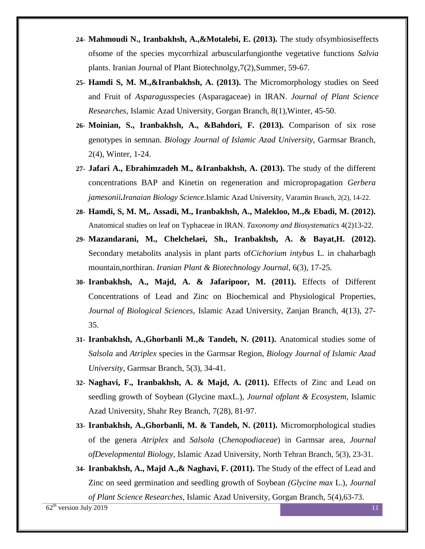- **24- Mahmoudi N., Iranbakhsh, A.,&Motalebi, E. (2013).** The study ofsymbiosiseffects ofsome of the species mycorrhizal arbuscularfungionthe vegetative functions *Salvia* plants. Iranian Journal of Plant Biotechnolgy,7(2),Summer, 59-67.
- **25- Hamdi S, M. M.,&Iranbakhsh, A. (2013).** The Micromorphology studies on Seed and Fruit of *Asparagus*species (Asparagaceae) in IRAN. *Journal of Plant Science Researches*, Islamic Azad University, Gorgan Branch, 8(1),Winter, 45-50.
- **26- Moinian, S., Iranbakhsh, A., &Bahdori, F. (2013).** Comparison of six rose genotypes in semnan. *Biology Journal of Islamic Azad University*, Garmsar Branch, 2(4), Winter, 1-24.
- **27- Jafari A., Ebrahimzadeh M., &Iranbakhsh, A. (2013).** The study of the different concentrations BAP and Kinetin on regeneration and micropropagation *Gerbera jamesonii.Iranaian Biology Science*.Islamic Azad University, Varamin Branch, 2(2), 14-22.
- **28- Hamdi, S, M. M,. Assadi, M., Iranbakhsh, A., Malekloo, M.,& Ebadi, M. (2012).**  Anatomical studies on leaf on Typhaceae in IRAN. *Taxonomy and Biosystematics* 4(2)13-22.
- **29- Mazandarani, M., Chelchelaei, Sh., Iranbakhsh, A. & Bayat,H. (2012).** Secondary metabolits analysis in plant parts of*Cichorium intybus* L. in chaharbagh mountain,northiran. *Iranian Plant & Biotechnology Journal*, 6(3), 17-25.
- **30- Iranbakhsh, A., Majd, A. & Jafaripoor, M. (2011).** Effects of Different Concentrations of Lead and Zinc on Biochemical and Physiological Properties*, Journal of Biological Sciences,* Islamic Azad University, Zanjan Branch, 4(13), 27- 35.
- **31- Iranbakhsh, A.,Ghorbanli M.,& Tandeh, N. (2011).** Anatomical studies some of *Salsola* and *Atriplex* species in the Garmsar Region, *Biology Journal of Islamic Azad University*, Garmsar Branch, 5(3), 34-41.
- **32- Naghavi, F., Iranbakhsh, A. & Majd, A. (2011).** Effects of Zinc and Lead on seedling growth of Soybean (Glycine maxL.), *Journal ofplant & Ecosystem*, Islamic Azad University, Shahr Rey Branch, 7(28), 81-97.
- **33- Iranbakhsh, A.,Ghorbanli, M. & Tandeh, N. (2011).** Micromorphological studies of the genera *Atriplex* and *Salsola* (*Chenopodiaceae*) in Garmsar area, *Journal ofDevelopmental Biology*, Islamic Azad University, North Tehran Branch, 5(3), 23-31.
- **34- Iranbakhsh, A., Majd A.,& Naghavi, F. (2011).** The Study of the effect of Lead and Zinc on seed germination and seedling growth of Soybean *(Glycine max* L.), *Journal*

*of Plant Science Researches*, Islamic Azad University, Gorgan Branch, 5(4),63-73.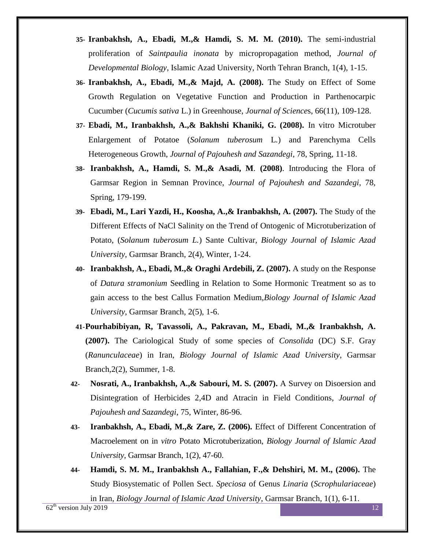- **35- Iranbakhsh, A., Ebadi, M.,& Hamdi, S. M. M. (2010).** The semi-industrial proliferation of *Saintpaulia inonata* by micropropagation method, *Journal of Developmental Biology*, Islamic Azad University, North Tehran Branch, 1(4), 1-15.
- **36- Iranbakhsh, A., Ebadi, M.,& Majd, A. (2008).** The Study on Effect of Some Growth Regulation on Vegetative Function and Production in Parthenocarpic Cucumber (*Cucumis sativa* L.) in Greenhouse, *Journal of Science*s, 66(11), 109-128.
- **37- Ebadi, M., Iranbakhsh, A.,& Bakhshi Khaniki, G. (2008).** In vitro Microtuber Enlargement of Potatoe (*Solanum tuberosum* L*.*) and Parenchyma Cells Heterogeneous Growth, *Journal of Pajouhesh and Sazandegi*, 78, Spring, 11-18.
- **38- Iranbakhsh, A., Hamdi, S. M.,& Asadi, M**. **(2008)**. Introducing the Flora of Garmsar Region in Semnan Province, *Journal of Pajouhesh and Sazandegi*, 78, Spring, 179-199.
- **39- Ebadi, M., Lari Yazdi, H., Koosha, A.,& Iranbakhsh, A. (2007).** The Study of the Different Effects of NaCl Salinity on the Trend of Ontogenic of Microtuberization of Potato, (*Solanum tuberosum L.*) Sante Cultivar*, Biology Journal of Islamic Azad University*, Garmsar Branch, 2(4), Winter, 1-24.
- **40- Iranbakhsh, A., Ebadi, M.,& Oraghi Ardebili, Z. (2007).** A study on the Response of *Datura stramonium* Seedling in Relation to Some Hormonic Treatment so as to gain access to the best Callus Formation Medium,*Biology Journal of Islamic Azad University*, Garmsar Branch, 2(5), 1-6.
- **41-Pourhabibiyan, R, Tavassoli, A., Pakravan, M., Ebadi, M.,& Iranbakhsh, A. (2007).** The Cariological Study of some species of *Consolida* (DC) S.F. Gray (*Ranunculaceae*) in Iran, *Biology Journal of Islamic Azad University*, Garmsar Branch,2(2), Summer, 1-8.
- **42- Nosrati, A., Iranbakhsh, A.,& Sabouri, M. S. (2007).** A Survey on Disoersion and Disintegration of Herbicides 2,4D and Atracin in Field Conditions, *Journal of Pajouhesh and Sazandegi*, 75, Winter, 86-96.
- **43- Iranbakhsh, A., Ebadi, M.,& Zare, Z. (2006).** Effect of Different Concentration of Macroelement on in *vitro* Potato Microtuberization, *Biology Journal of Islamic Azad University*, Garmsar Branch, 1(2), 47-60.
- **44- Hamdi, S. M. M., Iranbakhsh A., Fallahian, F.,& Dehshiri, M. M., (2006).** The Study Biosystematic of Pollen Sect. *Speciosa* of Genus *Linaria* (*Scrophulariaceae*)

in Iran, *Biology Journal of Islamic Azad University*, Garmsar Branch, 1(1), 6-11.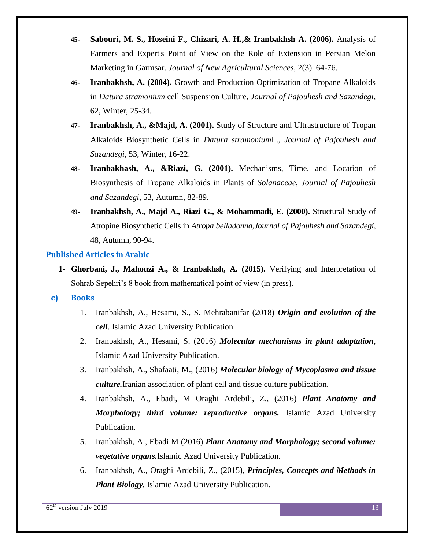- **45- Sabouri, M. S., Hoseini F., Chizari, A. H.,& Iranbakhsh A. (2006).** Analysis of Farmers and Expert's Point of View on the Role of Extension in Persian Melon Marketing in Garmsar. *Journal of New Agricultural Sciences*, 2(3). 64-76.
- **46- Iranbakhsh, A. (2004).** Growth and Production Optimization of Tropane Alkaloids in *Datura stramonium* cell Suspension Culture, *Journal of Pajouhesh and Sazandegi*, 62, Winter, 25-34.
- **47- Iranbakhsh, A., &Majd, A. (2001).** Study of Structure and Ultrastructure of Tropan Alkaloids Biosynthetic Cells in *Datura stramonium*L., *Journal of Pajouhesh and Sazandegi*, 53, Winter, 16-22.
- **48- Iranbakhash, A., &Riazi, G. (2001).** Mechanisms, Time, and Location of Biosynthesis of Tropane Alkaloids in Plants of *Solanaceae*, *Journal of Pajouhesh and Sazandegi*, 53, Autumn, 82-89.
- **49- Iranbakhsh, A., Majd A., Riazi G., & Mohammadi, E. (2000).** Structural Study of Atropine Biosynthetic Cells in *Atropa belladonna,Journal of Pajouhesh and Sazandegi*, 48, Autumn, 90-94.

## **Published Articles in Arabic**

**1- Ghorbani, J., Mahouzi A., & Iranbakhsh, A. (2015).** Verifying and Interpretation of Sohrab Sepehri's 8 book from mathematical point of view (in press).

### **c) Books**

- 1. Iranbakhsh, A., Hesami, S., S. Mehrabanifar (2018) *Origin and evolution of the cell*. Islamic Azad University Publication.
- 2. Iranbakhsh, A., Hesami, S. (2016) *Molecular mechanisms in plant adaptation*, Islamic Azad University Publication.
- 3. Iranbakhsh, A., Shafaati, M., (2016) *Molecular biology of Mycoplasma and tissue culture.*Iranian association of plant cell and tissue culture publication.
- 4. Iranbakhsh, A., Ebadi, M Oraghi Ardebili, Z., (2016) *Plant Anatomy and Morphology; third volume: reproductive organs.* Islamic Azad University Publication.
- 5. Iranbakhsh, A., Ebadi M (2016) *Plant Anatomy and Morphology; second volume: vegetative organs.*Islamic Azad University Publication.
- 6. Iranbakhsh, A., Oraghi Ardebili, Z., (2015), *Principles, Concepts and Methods in Plant Biology.* Islamic Azad University Publication.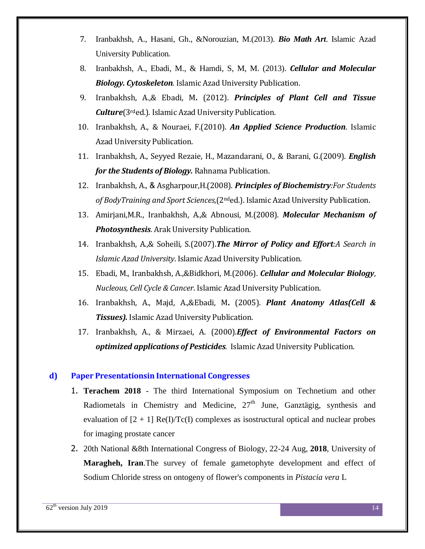- 7. Iranbakhsh, A., Hasani, Gh., &Norouzian, M.(2013). *Bio Math Art*. Islamic Azad University Publication.
- 8. Iranbakhsh, A., Ebadi, M., & Hamdi, S, M, M. (2013). *Cellular and Molecular Biology. Cytoskeleton*. Islamic Azad University Publication.
- 9. Iranbakhsh, A.,& Ebadi, M**.** (2012). *Principles of Plant Cell and Tissue Culture*(3rded.). Islamic Azad University Publication.
- 10. Iranbakhsh, A., & Nouraei, F.(2010). *An Applied Science Production*. Islamic Azad University Publication.
- 11. Iranbakhsh, A., Seyyed Rezaie, H., Mazandarani, O., & Barani, G.(2009). *English for the Students of Biology.* Rahnama Publication.
- 12. Iranbakhsh, A., & Asgharpour,H.(2008). *Principles of Biochemistry:For Students of BodyTraining and Sport Sciences,*(2nded.). Islamic Azad University Publication.
- 13. Amirjani,M.R., Iranbakhsh, A.,& Abnousi, M.(2008). *Molecular Mechanism of Photosynthesis*. Arak University Publication.
- 14. Iranbakhsh, A.,& Soheili, S.(2007).*The Mirror of Policy and Effort:A Search in Islamic Azad University*. Islamic Azad University Publication.
- 15. Ebadi, M., Iranbakhsh, A.,&Bidkhori, M.(2006). *Cellular and Molecular Biology*, *Nucleous, Cell Cycle & Cancer*. Islamic Azad University Publication.
- 16. Iranbakhsh, A., Majd, A.,&Ebadi, M**.** (2005). *Plant Anatomy Atlas(Cell & Tissues).* Islamic Azad University Publication.
- 17. Iranbakhsh, A., & Mirzaei, A. (2000).*Effect of Environmental Factors on optimized applications of Pesticides.* Islamic Azad University Publication.

### **d) Paper Presentationsin International Congresses**

- 1. **Terachem 2018** The third International Symposium on Technetium and other Radiometals in Chemistry and Medicine,  $27<sup>th</sup>$  June, Ganztägig, synthesis and evaluation of  $[2 + 1]$  Re(I)/Tc(I) complexes as isostructural optical and nuclear probes for imaging prostate cancer
- 2. 20th National &8th International Congress of Biology, 22-24 Aug, **2018**, University of **Maragheh, Iran**.The survey of female gametophyte development and effect of Sodium Chloride stress on ontogeny of flower's components in *Pistacia vera* L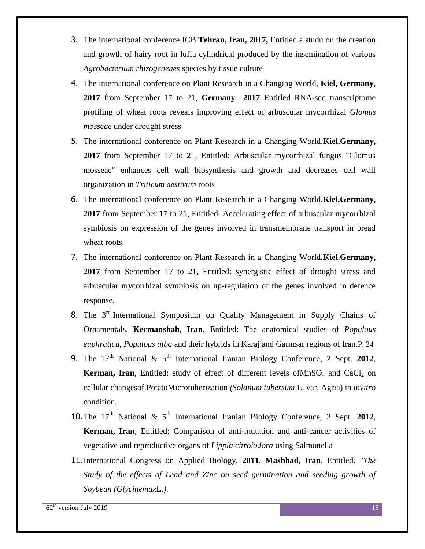- 3. The international conference ICB **Tehran, Iran, 2017,** Entitled a studu on the creation and growth of hairy root in luffa cylindrical produced by the insemination of various *Agrobacterium rhizogenenes* species by tissue culture
- 4. The international conference on Plant Research in a Changing World, **Kiel, Germany, 2017** from September 17 to 21, **Germany 2017** Entitled RNA-seq transcriptome profiling of wheat roots reveals improving effect of arbuscular mycorrhizal *Glomus mosseae* under drought stress
- 5. The international conference on Plant Research in a Changing World,**Kiel,Germany, 2017** from September 17 to 21, Entitled: Arbuscular mycorrhizal fungus "Glomus mosseae" enhances cell wall biosynthesis and growth and decreases cell wall organization in *Triticum aestivum* roots
- 6. The international conference on Plant Research in a Changing World,**Kiel,Germany, 2017** from September 17 to 21, Entitled: Accelerating effect of arbuscular mycorrhizal symbiosis on expression of the genes involved in transmembrane transport in bread wheat roots.
- 7. The international conference on Plant Research in a Changing World,**Kiel,Germany, 2017** from September 17 to 21, Entitled: synergistic effect of drought stress and arbuscular mycorrhizal symbiosis on up-regulation of the genes involved in defence response.
- 8. The 3<sup>rd</sup> International Symposium on Quality Management in Supply Chains of Ornamentals, **Kermanshah, Iran**, Entitled: The anatomical studies of *Populous euphratica, Populous alba* and their hybrids in Karaj and Garmsar regions of Iran.P. 24
- 9. The  $17<sup>th</sup>$  National &  $5<sup>th</sup>$  International Iranian Biology Conference, 2 Sept. 2012, **Kerman, Iran**, Entitled: study of effect of different levels ofMnSO<sub>4</sub> and CaCl<sub>2</sub> on cellular changesof PotatoMicrotuberization *(Solanum tubersum* L. var. Agria) in *invitro* condition*.*
- 10. The  $17<sup>th</sup>$  National &  $5<sup>th</sup>$  International Iranian Biology Conference, 2 Sept. 2012, **Kerman, Iran**, Entitled: Comparison of anti-mutation and anti-cancer activities of vegetative and reproductive organs of *Lippia citroiodora* using Salmonella
- 11.International Congress on Applied Biology, **2011**, **Mashhad, Iran**, Entitled*: 'The Study of the effects of Lead and Zinc on seed germination and seeding growth of Soybean (Glycinemax*L*.)*.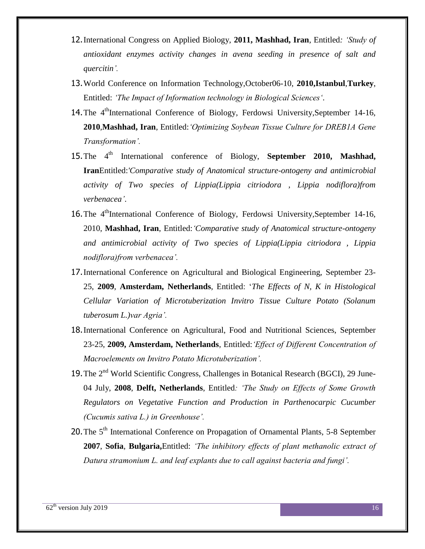- 12.International Congress on Applied Biology, **2011, Mashhad, Iran**, Entitled*: 'Study of antioxidant enzymes activity changes in avena seeding in presence of salt and quercitin'.*
- 13.World Conference on Information Technology,October06-10, **2010,Istanbul**,**Turkey**, Entitled: *'The Impact of Information technology in Biological Sciences'*.
- 14. The 4<sup>th</sup>International Conference of Biology, Ferdowsi University, September 14-16, **2010**,**Mashhad, Iran**, Entitled:*'Optimizing Soybean Tissue Culture for DREB1A Gene Transformation'.*
- 15. The 4<sup>th</sup> International conference of Biology, **September 2010, Mashhad, Iran**Entitled:*'Comparative study of Anatomical structure-ontogeny and antimicrobial activity of Two species of Lippia(Lippia citriodora , Lippia nodiflora)from verbenacea'*.
- 16. The 4<sup>th</sup>International Conference of Biology, Ferdowsi University, September 14-16, 2010, **Mashhad, Iran**, Entitled:*'Comparative study of Anatomical structure-ontogeny and antimicrobial activity of Two species of Lippia(Lippia citriodora , Lippia nodiflora)from verbenacea'.*
- 17.International Conference on Agricultural and Biological Engineering, September 23- 25, **2009**, **Amsterdam, Netherlands**, Entitled: '*The Effects of N, K in Histological Cellular Variation of Microtuberization Invitro Tissue Culture Potato (Solanum tuberosum L.)var Agria'.*
- 18.International Conference on Agricultural, Food and Nutritional Sciences, September 23-25, **2009, Amsterdam, Netherlands**, Entitled:*'Effect of Different Concentration of Macroelements on Invitro Potato Microtuberization'.*
- 19. The 2<sup>nd</sup> World Scientific Congress, Challenges in Botanical Research (BGCI), 29 June-04 July, **2008**, **Delft, Netherlands**, Entitled*: 'The Study on Effects of Some Growth Regulators on Vegetative Function and Production in Parthenocarpic Cucumber (Cucumis sativa L.) in Greenhouse'.*
- 20. The 5<sup>th</sup> International Conference on Propagation of Ornamental Plants, 5-8 September **2007**, **Sofia**, **Bulgaria,**Entitled: *'The inhibitory effects of plant methanolic extract of Datura stramonium L. and leaf explants due to call against bacteria and fungi'.*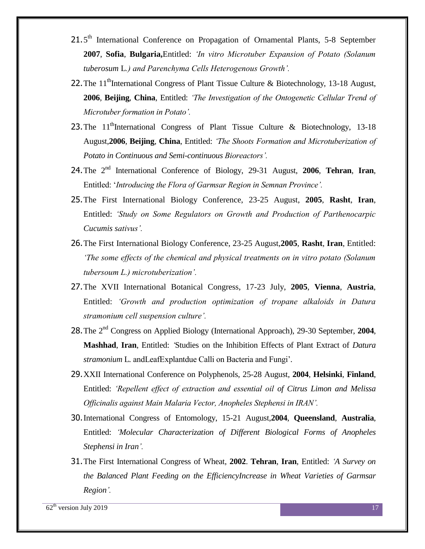- 21.5<sup>th</sup> International Conference on Propagation of Ornamental Plants, 5-8 September **2007**, **Sofia**, **Bulgaria,**Entitled: *'In vitro Microtuber Expansion of Potato (Solanum tuberosum* L*.) and Parenchyma Cells Heterogenous Growth'.*
- 22. The 11<sup>th</sup>International Congress of Plant Tissue Culture & Biotechnology, 13-18 August, **2006**, **Beijing**, **China**, Entitled: *'The Investigation of the Ontogenetic Cellular Trend of Microtuber formation in Potato'.*
- 23. The  $11<sup>th</sup>$ International Congress of Plant Tissue Culture & Biotechnology, 13-18 August,**2006**, **Beijing**, **China**, Entitled: *'The Shoots Formation and Microtuberization of Potato in Continuous and Semi-continuous Bioreactors'.*
- 24. The 2<sup>nd</sup> International Conference of Biology, 29-31 August, 2006, Tehran, Iran, Entitled: '*Introducing the Flora of Garmsar Region in Semnan Province'.*
- 25.The First International Biology Conference, 23-25 August, **2005**, **Rasht**, **Iran**, Entitled: *'Study on Some Regulators on Growth and Production of Parthenocarpic Cucumis sativus'.*
- 26.The First International Biology Conference, 23-25 August,**2005**, **Rasht**, **Iran**, Entitled: *'The some effects of the chemical and physical treatments on in vitro potato (Solanum tubersoum L.) microtuberization'.*
- 27.The XVII International Botanical Congress, 17-23 July, **2005**, **Vienna**, **Austria**, Entitled: *'Growth and production optimization of tropane alkaloids in Datura stramonium cell suspension culture'.*
- 28.The 2nd Congress on Applied Biology (International Approach), 29-30 September, **2004**, **Mashhad**, **Iran**, Entitled: *'*Studies on the Inhibition Effects of Plant Extract of *Datura stramonium* L*.* andLeafExplantdue Calli on Bacteria and Fungi'*.*
- 29.XXII International Conference on Polyphenols, 25-28 August, **2004**, **Helsinki**, **Finland**, Entitled: *'Repellent effect of extraction and essential oil of Citrus Limon and Melissa Officinalis against Main Malaria Vector, Anopheles Stephensi in IRAN'.*
- 30.International Congress of Entomology, 15-21 August,**2004**, **Queensland**, **Australia**, Entitled: *'Molecular Characterization of Different Biological Forms of Anopheles Stephensi in Iran'.*
- 31.The First International Congress of Wheat, **2002**. **Tehran**, **Iran**, Entitled: *'A Survey on the Balanced Plant Feeding on the EfficiencyIncrease in Wheat Varieties of Garmsar Region'.*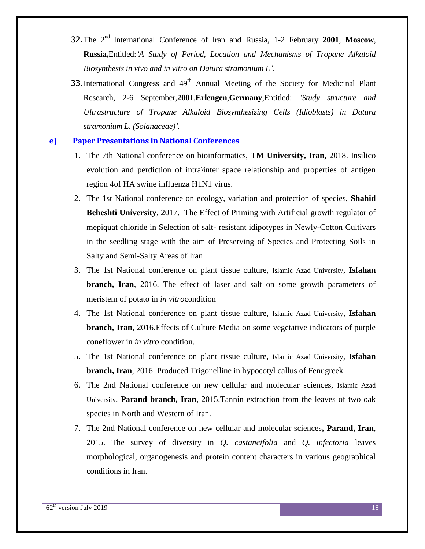- 32. The 2<sup>nd</sup> International Conference of Iran and Russia, 1-2 February 2001, Moscow, **Russia,**Entitled:*'A Study of Period, Location and Mechanisms of Tropane Alkaloid Biosynthesis in vivo and in vitro on Datura stramonium L'.*
- 33. International Congress and  $49<sup>th</sup>$  Annual Meeting of the Society for Medicinal Plant Research, 2-6 September,**2001**,**Erlengen**,**Germany**,Entitled: *'Study structure and Ultrastructure of Tropane Alkaloid Biosynthesizing Cells (Idioblasts) in Datura stramonium L. (Solanaceae)'.*

#### **e) Paper Presentations in National Conferences**

- 1. The 7th National conference on bioinformatics, **TM University, Iran,** 2018. Insilico evolution and perdiction of intra\inter space relationship and properties of antigen region 4of HA swine influenza H1N1 virus.
- 2. The 1st National conference on ecology, variation and protection of species, **Shahid Beheshti University**, 2017. The Effect of Priming with Artificial growth regulator of mepiquat chloride in Selection of salt- resistant idipotypes in Newly-Cotton Cultivars in the seedling stage with the aim of Preserving of Species and Protecting Soils in Salty and Semi-Salty Areas of Iran
- 3. The 1st National conference on plant tissue culture, Islamic Azad University, **Isfahan branch, Iran**, 2016. The effect of laser and salt on some growth parameters of meristem of potato in *in vitro*condition
- 4. The 1st National conference on plant tissue culture, Islamic Azad University, **Isfahan branch, Iran**, 2016.Effects of Culture Media on some vegetative indicators of purple coneflower in *in vitro* condition.
- 5. The 1st National conference on plant tissue culture, Islamic Azad University, **Isfahan branch, Iran**, 2016. Produced Trigonelline in hypocotyl callus of Fenugreek
- 6. The 2nd National conference on new cellular and molecular sciences, Islamic Azad University, **Parand branch, Iran**, 2015.Tannin extraction from the leaves of two oak species in North and Western of Iran.
- 7. The 2nd National conference on new cellular and molecular sciences**, Parand, Iran**, 2015. The survey of diversity in *Q. castaneifolia* and *Q. infectoria* leaves morphological, organogenesis and protein content characters in various geographical conditions in Iran.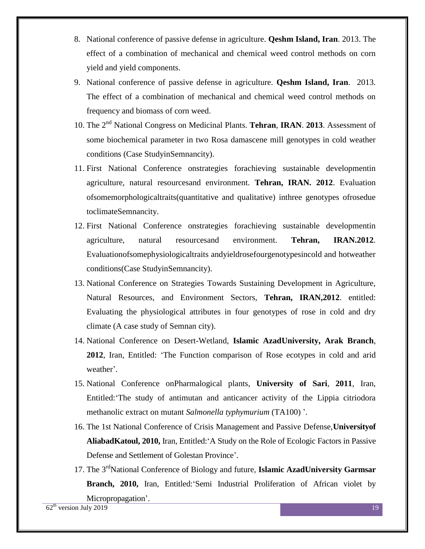- 8. National conference of passive defense in agriculture. **Qeshm Island, Iran**. 2013. The effect of a combination of mechanical and chemical weed control methods on corn yield and yield components.
- 9. National conference of passive defense in agriculture. **Qeshm Island, Iran**. 2013. The effect of a combination of mechanical and chemical weed control methods on frequency and biomass of corn weed.
- 10. The 2<sup>nd</sup> National Congress on Medicinal Plants. Tehran, IRAN. 2013. Assessment of some biochemical parameter in two Rosa damascene mill genotypes in cold weather conditions (Case StudyinSemnancity).
- 11. First National Conference onstrategies forachieving sustainable developmentin agriculture, natural resourcesand environment. **Tehran, IRAN. 2012**. Evaluation ofsomemorphologicaltraits(quantitative and qualitative) inthree genotypes ofrosedue toclimateSemnancity.
- 12. First National Conference onstrategies forachieving sustainable developmentin agriculture, natural resourcesand environment. **Tehran, IRAN.2012**. Evaluationofsomephysiologicaltraits andyieldrosefourgenotypesincold and hotweather conditions(Case StudyinSemnancity).
- 13. National Conference on Strategies Towards Sustaining Development in Agriculture, Natural Resources, and Environment Sectors, **Tehran, IRAN,2012**. entitled: Evaluating the physiological attributes in four genotypes of rose in cold and dry climate (A case study of Semnan city).
- 14. National Conference on Desert-Wetland, **Islamic AzadUniversity, Arak Branch**, **2012**, Iran, Entitled: 'The Function comparison of Rose ecotypes in cold and arid weather'.
- 15. National Conference onPharmalogical plants, **University of Sari**, **2011**, Iran, Entitled:'The study of antimutan and anticancer activity of the Lippia citriodora methanolic extract on mutant *Salmonella typhymurium* (TA100) '.
- 16. The 1st National Conference of Crisis Management and Passive Defense,**Universityof AliabadKatoul, 2010,** Iran, Entitled:'A Study on the Role of Ecologic Factors in Passive Defense and Settlement of Golestan Province'.
- 17. The 3<sup>rd</sup>National Conference of Biology and future, **Islamic AzadUniversity Garmsar Branch, 2010,** Iran, Entitled:'Semi Industrial Proliferation of African violet by Micropropagation'.

 $62<sup>th</sup>$  version July 2019 19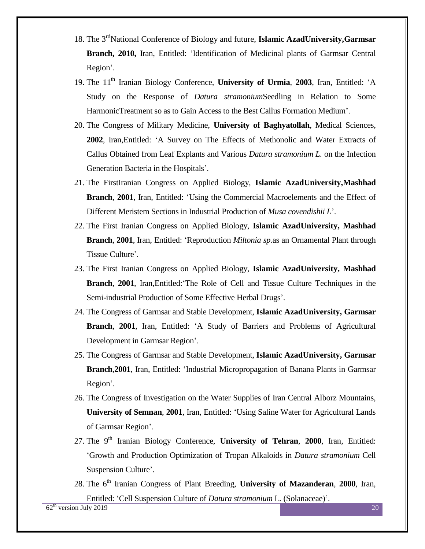- 18. The 3<sup>rd</sup>National Conference of Biology and future, Islamic AzadUniversity, Garmsar **Branch, 2010,** Iran, Entitled: 'Identification of Medicinal plants of Garmsar Central Region'.
- 19. The 11<sup>th</sup> Iranian Biology Conference, **University of Urmia**, 2003, Iran, Entitled: 'A Study on the Response of *Datura stramonium*Seedling in Relation to Some HarmonicTreatment so as to Gain Access to the Best Callus Formation Medium'.
- 20. The Congress of Military Medicine, **University of Baghyatollah**, Medical Sciences, **2002**, Iran,Entitled: 'A Survey on The Effects of Methonolic and Water Extracts of Callus Obtained from Leaf Explants and Various *Datura stramonium L.* on the Infection Generation Bacteria in the Hospitals'.
- 21. The FirstIranian Congress on Applied Biology, **Islamic AzadUniversity,Mashhad Branch**, **2001**, Iran, Entitled: 'Using the Commercial Macroelements and the Effect of Different Meristem Sections in Industrial Production of *Musa covendishii L*'.
- 22. The First Iranian Congress on Applied Biology, **Islamic AzadUniversity, Mashhad Branch**, **2001**, Iran, Entitled: 'Reproduction *Miltonia sp.*as an Ornamental Plant through Tissue Culture'.
- 23. The First Iranian Congress on Applied Biology, **Islamic AzadUniversity, Mashhad Branch**, **2001**, Iran,Entitled:'The Role of Cell and Tissue Culture Techniques in the Semi-industrial Production of Some Effective Herbal Drugs'.
- 24. The Congress of Garmsar and Stable Development, **Islamic AzadUniversity, Garmsar Branch**, **2001**, Iran, Entitled: 'A Study of Barriers and Problems of Agricultural Development in Garmsar Region'.
- 25. The Congress of Garmsar and Stable Development, **Islamic AzadUniversity, Garmsar Branch**,**2001**, Iran, Entitled: 'Industrial Micropropagation of Banana Plants in Garmsar Region'.
- 26. The Congress of Investigation on the Water Supplies of Iran Central Alborz Mountains, **University of Semnan**, **2001**, Iran, Entitled: 'Using Saline Water for Agricultural Lands of Garmsar Region'.
- 27. The 9<sup>th</sup> Iranian Biology Conference, **University of Tehran**, 2000, Iran, Entitled: 'Growth and Production Optimization of Tropan Alkaloids in *Datura stramonium* Cell Suspension Culture'.
- 28. The 6th Iranian Congress of Plant Breeding, **University of Mazanderan**, **2000**, Iran, Entitled: 'Cell Suspension Culture of *Datura stramonium* L*.* (Solanaceae)'.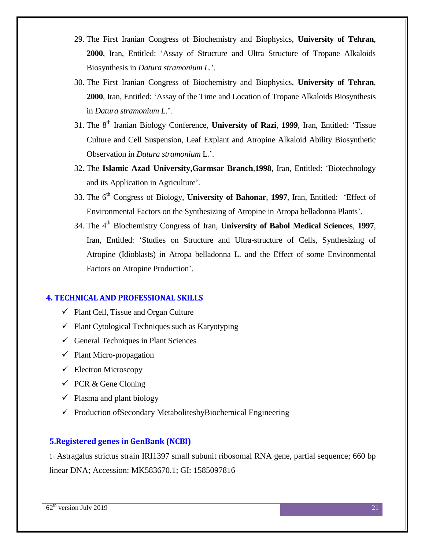- 29. The First Iranian Congress of Biochemistry and Biophysics, **University of Tehran**, **2000**, Iran, Entitled: 'Assay of Structure and Ultra Structure of Tropane Alkaloids Biosynthesis in *Datura stramonium L.*'.
- 30. The First Iranian Congress of Biochemistry and Biophysics, **University of Tehran**, **2000**, Iran, Entitled: 'Assay of the Time and Location of Tropane Alkaloids Biosynthesis in *Datura stramonium L.*'.
- 31. The 8th Iranian Biology Conference, **University of Razi**, **1999**, Iran, Entitled: 'Tissue Culture and Cell Suspension, Leaf Explant and Atropine Alkaloid Ability Biosynthetic Observation in *Datura stramonium* L*.*'.
- 32. The **Islamic Azad University,Garmsar Branch**,**1998**, Iran, Entitled: 'Biotechnology and its Application in Agriculture'.
- 33. The 6<sup>th</sup> Congress of Biology, **University of Bahonar**, 1997, Iran, Entitled: 'Effect of Environmental Factors on the Synthesizing of Atropine in Atropa belladonna Plants'.
- 34. The 4th Biochemistry Congress of Iran, **University of Babol Medical Sciences**, **1997**, Iran, Entitled: 'Studies on Structure and Ultra-structure of Cells, Synthesizing of Atropine (Idioblasts) in Atropa belladonna L. and the Effect of some Environmental Factors on Atropine Production'.

#### **4. TECHNICAL AND PROFESSIONAL SKILLS**

- $\checkmark$  Plant Cell, Tissue and Organ Culture
- $\checkmark$  Plant Cytological Techniques such as Karyotyping
- $\checkmark$  General Techniques in Plant Sciences
- $\checkmark$  Plant Micro-propagation
- $\checkmark$  Electron Microscopy
- $\checkmark$  PCR & Gene Cloning
- $\checkmark$  Plasma and plant biology
- $\checkmark$  Production of Secondary Metabolitesby Biochemical Engineering

### **5.Registered genes in GenBank (NCBI)**

1- [Astragalus strictus strain IRI1397 small subunit ribosomal RNA gene, partial sequence;](https://www.ncbi.nlm.nih.gov/nuccore/MK583670.1) 660 bp linear DNA; Accession: MK583670.1; GI: 1585097816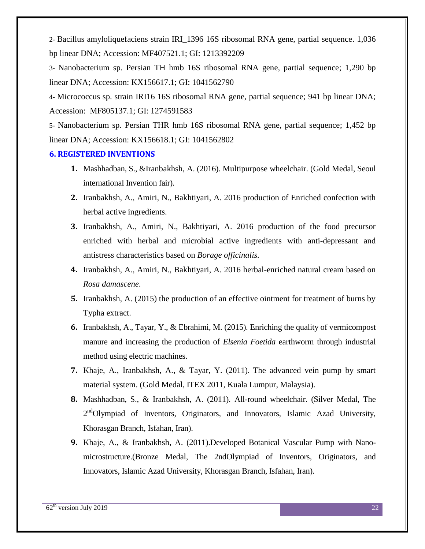2- [Bacillus amyloliquefaciens strain IRI\\_1396 16S ribosomal RNA gene, partial sequence.](https://www.ncbi.nlm.nih.gov/nuccore/MF407521.1) 1,036 bp linear DNA; Accession: MF407521.1; GI: 1213392209

3- [Nanobacterium sp. Persian TH hmb 16S ribosomal RNA gene, partial sequence;](https://www.ncbi.nlm.nih.gov/nuccore/KX156617.1) 1,290 bp linear DNA; Accession: KX156617.1; GI: 1041562790

4- [Micrococcus sp. strain IRI16 16S ribosomal RNA gene, partial sequence;](https://www.ncbi.nlm.nih.gov/nuccore/MF805137.1) 941 bp linear DNA; Accession: MF805137.1; GI: 1274591583

5- [Nanobacterium sp. Persian THR hmb 16S ribosomal RNA gene, partial sequence;](https://www.ncbi.nlm.nih.gov/nuccore/KX156618.1) 1,452 bp linear DNA; Accession: KX156618.1; GI: 1041562802

#### **6. REGISTERED INVENTIONS**

- **1.** Mashhadban, S., &Iranbakhsh, A. (2016). Multipurpose wheelchair. (Gold Medal, Seoul international Invention fair).
- **2.** Iranbakhsh, A., Amiri, N., Bakhtiyari, A. 2016 production of Enriched confection with herbal active ingredients.
- **3.** Iranbakhsh, A., Amiri, N., Bakhtiyari, A. 2016 production of the food precursor enriched with herbal and microbial active ingredients with anti-depressant and antistress characteristics based on *Borage officinalis.*
- **4.** Iranbakhsh, A., Amiri, N., Bakhtiyari, A. 2016 herbal-enriched natural cream based on *Rosa damascene*.
- **5.** Iranbakhsh, A. (2015) the production of an effective ointment for treatment of burns by Typha extract.
- **6.** Iranbakhsh, A., Tayar, Y., & Ebrahimi, M. (2015). Enriching the quality of vermicompost manure and increasing the production of *Elsenia Foetida* earthworm through industrial method using electric machines.
- **7.** Khaje, A., Iranbakhsh, A., & Tayar, Y. (2011). The advanced vein pump by smart material system. (Gold Medal, ITEX 2011, Kuala Lumpur, Malaysia).
- **8.** Mashhadban, S., & Iranbakhsh, A. (2011). All-round wheelchair. (Silver Medal, The 2<sup>nd</sup>Olympiad of Inventors, Originators, and Innovators, Islamic Azad University, Khorasgan Branch, Isfahan, Iran).
- **9.** Khaje, A., & Iranbakhsh, A. (2011).Developed Botanical Vascular Pump with Nanomicrostructure.(Bronze Medal, The 2ndOlympiad of Inventors, Originators, and Innovators, Islamic Azad University, Khorasgan Branch, Isfahan, Iran).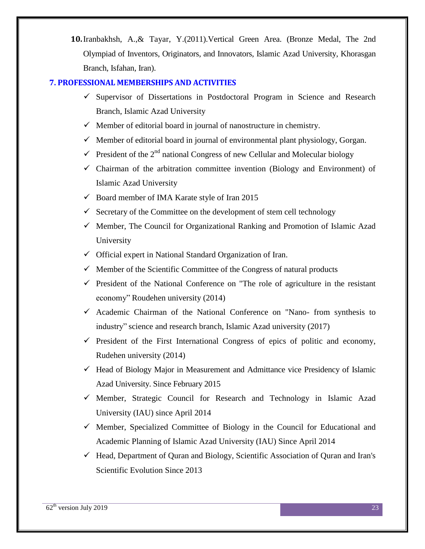**10.**Iranbakhsh, A.,& Tayar, Y.(2011).Vertical Green Area. (Bronze Medal, The 2nd Olympiad of Inventors, Originators, and Innovators, Islamic Azad University, Khorasgan Branch, Isfahan, Iran).

## **7. PROFESSIONAL MEMBERSHIPS AND ACTIVITIES**

- $\checkmark$  Supervisor of Dissertations in Postdoctoral Program in Science and Research Branch, Islamic Azad University
- $\checkmark$  Member of editorial board in journal of nanostructure in chemistry.
- $\checkmark$  Member of editorial board in journal of environmental plant physiology, Gorgan.
- $\checkmark$  President of the 2<sup>nd</sup> national Congress of new Cellular and Molecular biology
- $\checkmark$  Chairman of the arbitration committee invention (Biology and Environment) of Islamic Azad University
- $\checkmark$  Board member of IMA Karate style of Iran 2015
- $\checkmark$  Secretary of the Committee on the development of stem cell technology
- $\checkmark$  Member, The Council for Organizational Ranking and Promotion of Islamic Azad University
- $\checkmark$  Official expert in National Standard Organization of Iran.
- $\checkmark$  Member of the Scientific Committee of the Congress of natural products
- $\checkmark$  President of the National Conference on "The role of agriculture in the resistant economy" Roudehen university (2014)
- $\checkmark$  Academic Chairman of the National Conference on "Nano- from synthesis to industry" science and research branch, Islamic Azad university (2017)
- $\checkmark$  President of the First International Congress of epics of politic and economy, Rudehen university (2014)
- $\checkmark$  Head of Biology Major in Measurement and Admittance vice Presidency of Islamic Azad University. Since February 2015
- $\checkmark$  Member, Strategic Council for Research and Technology in Islamic Azad University (IAU) since April 2014
- $\checkmark$  Member, Specialized Committee of Biology in the Council for Educational and Academic Planning of Islamic Azad University (IAU) Since April 2014
- $\checkmark$  Head, Department of Quran and Biology, Scientific Association of Quran and Iran's Scientific Evolution Since 2013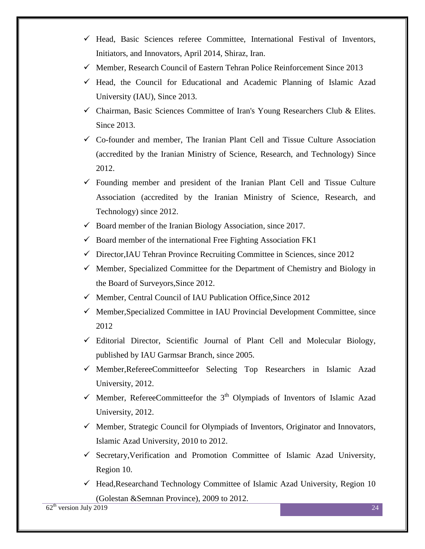- $\checkmark$  Head, Basic Sciences referee Committee, International Festival of Inventors, Initiators, and Innovators, April 2014, Shiraz, Iran.
- $\checkmark$  Member, Research Council of Eastern Tehran Police Reinforcement Since 2013
- $\checkmark$  Head, the Council for Educational and Academic Planning of Islamic Azad University (IAU), Since 2013.
- $\checkmark$  Chairman, Basic Sciences Committee of Iran's Young Researchers Club & Elites. Since 2013.
- $\checkmark$  Co-founder and member, The Iranian Plant Cell and Tissue Culture Association (accredited by the Iranian Ministry of Science, Research, and Technology) Since 2012.
- $\checkmark$  Founding member and president of the Iranian Plant Cell and Tissue Culture Association (accredited by the Iranian Ministry of Science, Research, and Technology) since 2012.
- $\checkmark$  Board member of the Iranian Biology Association, since 2017.
- $\checkmark$  Board member of the international Free Fighting Association FK1
- $\checkmark$  Director, IAU Tehran Province Recruiting Committee in Sciences, since 2012
- $\checkmark$  Member, Specialized Committee for the Department of Chemistry and Biology in the Board of Surveyors,Since 2012.
- $\checkmark$  Member, Central Council of IAU Publication Office, Since 2012
- $\checkmark$  Member, Specialized Committee in IAU Provincial Development Committee, since 2012
- $\checkmark$  Editorial Director, Scientific Journal of Plant Cell and Molecular Biology, published by IAU Garmsar Branch, since 2005.
- $\checkmark$  Member, Referee Committeefor Selecting Top Researchers in Islamic Azad University, 2012.
- $\checkmark$  Member, RefereeCommitteefor the 3<sup>th</sup> Olympiads of Inventors of Islamic Azad University, 2012.
- $\checkmark$  Member, Strategic Council for Olympiads of Inventors, Originator and Innovators, Islamic Azad University, 2010 to 2012.
- $\checkmark$  Secretary, Verification and Promotion Committee of Islamic Azad University, Region 10.
- $\checkmark$  Head,Researchand Technology Committee of Islamic Azad University, Region 10 (Golestan &Semnan Province), 2009 to 2012.

 $62<sup>th</sup>$  version July 2019 24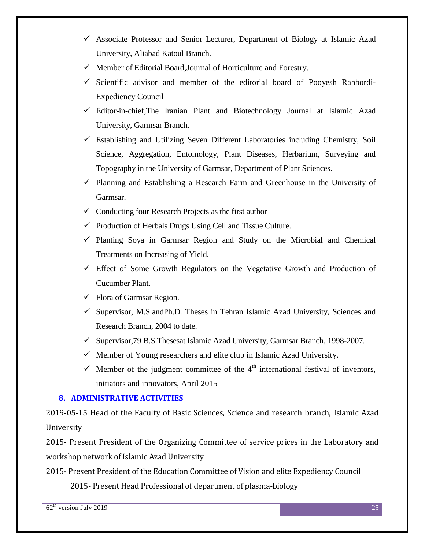- $\checkmark$  Associate Professor and Senior Lecturer, Department of Biology at Islamic Azad University, Aliabad Katoul Branch.
- Member of Editorial Board*,*Journal of Horticulture and Forestry.
- $\checkmark$  Scientific advisor and member of the editorial board of Pooyesh Rahbordi-Expediency Council
- $\checkmark$  Editor-in-chief, The Iranian Plant and Biotechnology Journal at Islamic Azad University, Garmsar Branch.
- $\checkmark$  Establishing and Utilizing Seven Different Laboratories including Chemistry, Soil Science, Aggregation, Entomology, Plant Diseases, Herbarium, Surveying and Topography in the University of Garmsar, Department of Plant Sciences.
- $\checkmark$  Planning and Establishing a Research Farm and Greenhouse in the University of Garmsar.
- $\checkmark$  Conducting four Research Projects as the first author
- $\checkmark$  Production of Herbals Drugs Using Cell and Tissue Culture.
- $\checkmark$  Planting Soya in Garmsar Region and Study on the Microbial and Chemical Treatments on Increasing of Yield.
- $\checkmark$  Effect of Some Growth Regulators on the Vegetative Growth and Production of Cucumber Plant.
- $\checkmark$  Flora of Garmsar Region.
- $\checkmark$  Supervisor, M.S.andPh.D. Theses in Tehran Islamic Azad University, Sciences and Research Branch, 2004 to date.
- $\checkmark$  Supervisor, 79 B.S. Thesesat Islamic Azad University, Garmsar Branch, 1998-2007.
- $\checkmark$  Member of Young researchers and elite club in Islamic Azad University.
- $\checkmark$  Member of the judgment committee of the 4<sup>th</sup> international festival of inventors, initiators and innovators, April 2015

## **8. ADMINISTRATIVE ACTIVITIES**

2019-05-15 Head of the Faculty of Basic Sciences, Science and research branch, Islamic Azad University

2015- Present President of the Organizing Committee of service prices in the Laboratory and workshop network of Islamic Azad University

2015- Present President of the Education Committee of Vision and elite Expediency Council

2015- Present Head Professional of department of plasma-biology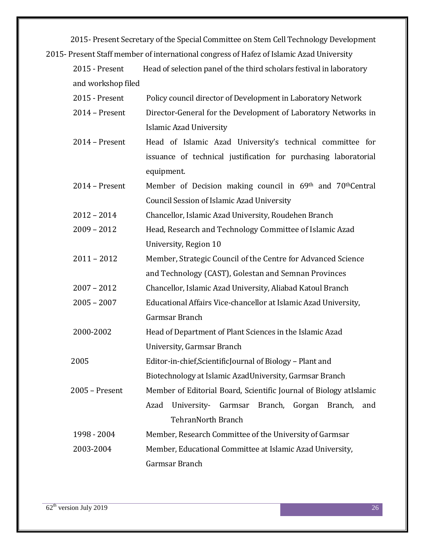2015- Present Secretary of the Special Committee on Stem Cell Technology Development 2015- Present Staff member of international congress of Hafez of Islamic Azad University

| 2015 - Present     | Head of selection panel of the third scholars festival in laboratory |
|--------------------|----------------------------------------------------------------------|
| and workshop filed |                                                                      |
| 2015 - Present     | Policy council director of Development in Laboratory Network         |
| 2014 - Present     | Director-General for the Development of Laboratory Networks in       |
|                    | <b>Islamic Azad University</b>                                       |
| 2014 - Present     | Head of Islamic Azad University's technical committee for            |
|                    | issuance of technical justification for purchasing laboratorial      |
|                    | equipment.                                                           |
| 2014 - Present     | Member of Decision making council in 69th and 70th Central           |
|                    | <b>Council Session of Islamic Azad University</b>                    |
| $2012 - 2014$      | Chancellor, Islamic Azad University, Roudehen Branch                 |
| $2009 - 2012$      | Head, Research and Technology Committee of Islamic Azad              |
|                    | University, Region 10                                                |
| $2011 - 2012$      | Member, Strategic Council of the Centre for Advanced Science         |
|                    | and Technology (CAST), Golestan and Semnan Provinces                 |
| $2007 - 2012$      | Chancellor, Islamic Azad University, Aliabad Katoul Branch           |
| $2005 - 2007$      | Educational Affairs Vice-chancellor at Islamic Azad University,      |
|                    | Garmsar Branch                                                       |
| 2000-2002          | Head of Department of Plant Sciences in the Islamic Azad             |
|                    | University, Garmsar Branch                                           |
| 2005               | Editor-in-chief, Scientific Journal of Biology - Plant and           |
|                    | Biotechnology at Islamic AzadUniversity, Garmsar Branch              |
| 2005 - Present     | Member of Editorial Board, Scientific Journal of Biology at Islamic  |
|                    | Branch, Gorgan<br>Azad<br>University-<br>Garmsar<br>Branch,<br>and   |
|                    | <b>TehranNorth Branch</b>                                            |
| 1998 - 2004        | Member, Research Committee of the University of Garmsar              |
| 2003-2004          | Member, Educational Committee at Islamic Azad University,            |
|                    | Garmsar Branch                                                       |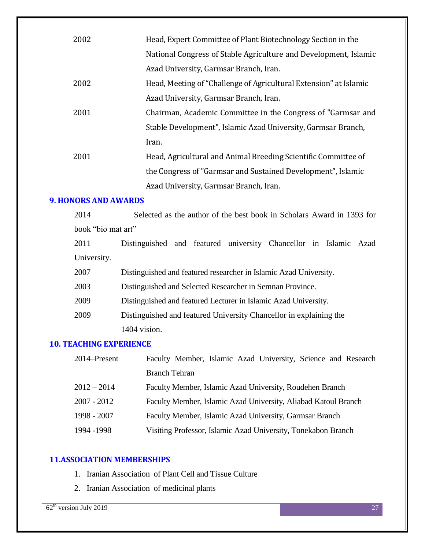| 2002 | Head, Expert Committee of Plant Biotechnology Section in the      |
|------|-------------------------------------------------------------------|
|      | National Congress of Stable Agriculture and Development, Islamic  |
|      | Azad University, Garmsar Branch, Iran.                            |
| 2002 | Head, Meeting of "Challenge of Agricultural Extension" at Islamic |
|      | Azad University, Garmsar Branch, Iran.                            |
| 2001 | Chairman, Academic Committee in the Congress of "Garmsar and      |
|      | Stable Development", Islamic Azad University, Garmsar Branch,     |
|      | Iran.                                                             |
| 2001 | Head, Agricultural and Animal Breeding Scientific Committee of    |
|      | the Congress of "Garmsar and Sustained Development", Islamic      |
|      | Azad University, Garmsar Branch, Iran.                            |

### **9. HONORS AND AWARDS**

2014 Selected as the author of the best book in Scholars Award in 1393 for book "bio mat art"

2011 Distinguished and featured university Chancellor in Islamic Azad University.

2007 Distinguished and featured researcher in Islamic Azad University.

2003 Distinguished and Selected Researcher in Semnan Province.

2009 Distinguished and featured Lecturer in Islamic Azad University.

2009 Distinguished and featured University Chancellor in explaining the 1404 vision.

## **10. TEACHING EXPERIENCE**

| 2014–Present  | Faculty Member, Islamic Azad University, Science and Research  |
|---------------|----------------------------------------------------------------|
|               | <b>Branch Tehran</b>                                           |
| $2012 - 2014$ | Faculty Member, Islamic Azad University, Roudehen Branch       |
| $2007 - 2012$ | Faculty Member, Islamic Azad University, Aliabad Katoul Branch |
| 1998 - 2007   | Faculty Member, Islamic Azad University, Garmsar Branch        |
| 1994 - 1998   | Visiting Professor, Islamic Azad University, Tonekabon Branch  |

### **11.ASSOCIATION MEMBERSHIPS**

- 1. Iranian Association of Plant Cell and Tissue Culture
- 2. Iranian Association of medicinal plants